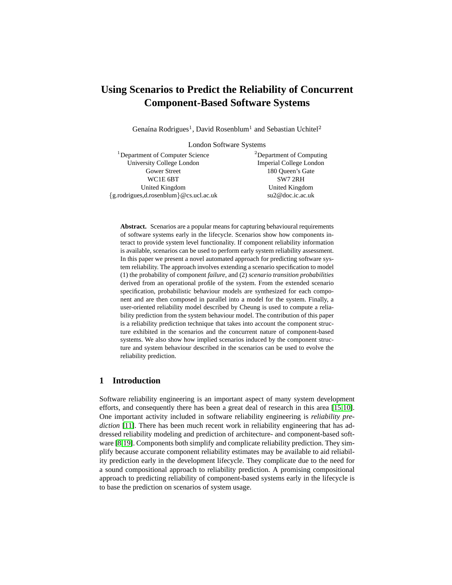# **Using Scenarios to Predict the Reliability of Concurrent Component-Based Software Systems**

Genaína Rodrigues<sup>1</sup>, David Rosenblum<sup>1</sup> and Sebastian Uchitel<sup>2</sup>

London Software Systems

| <sup>1</sup> Department of Computer Science   | <sup>2</sup> Department of Computing |  |  |  |  |
|-----------------------------------------------|--------------------------------------|--|--|--|--|
| University College London                     | Imperial College London              |  |  |  |  |
| <b>Gower Street</b>                           | 180 Oueen's Gate                     |  |  |  |  |
| WC1E 6BT                                      | SW7 2RH                              |  |  |  |  |
| United Kingdom                                | United Kingdom                       |  |  |  |  |
| ${g. rodrigues,d. rosenblum} @ cs. ucl.ac.uk$ | $su2@$ doc.ic.ac.uk                  |  |  |  |  |

**Abstract.** Scenarios are a popular means for capturing behavioural requirements of software systems early in the lifecycle. Scenarios show how components interact to provide system level functionality. If component reliability information is available, scenarios can be used to perform early system reliability assessment. In this paper we present a novel automated approach for predicting software system reliability. The approach involves extending a scenario specification to model (1) the probability of component *failure*, and (2) *scenario transition probabilities* derived from an operational profile of the system. From the extended scenario specification, probabilistic behaviour models are synthesized for each component and are then composed in parallel into a model for the system. Finally, a user-oriented reliability model described by Cheung is used to compute a reliability prediction from the system behaviour model. The contribution of this paper is a reliability prediction technique that takes into account the component structure exhibited in the scenarios and the concurrent nature of component-based systems. We also show how implied scenarios induced by the component structure and system behaviour described in the scenarios can be used to evolve the reliability prediction.

### **1 Introduction**

Software reliability engineering is an important aspect of many system development efforts, and consequently there has been a great deal of research in this area [\[15](#page-14-0)[,10\]](#page-14-1). One important activity included in software reliability engineering is *reliability prediction* [\[11\]](#page-14-2). There has been much recent work in reliability engineering that has addressed reliability modeling and prediction of architecture- and component-based software [\[8](#page-14-3)[,19\]](#page-14-4). Components both simplify and complicate reliability prediction. They simplify because accurate component reliability estimates may be available to aid reliability prediction early in the development lifecycle. They complicate due to the need for a sound compositional approach to reliability prediction. A promising compositional approach to predicting reliability of component-based systems early in the lifecycle is to base the prediction on scenarios of system usage.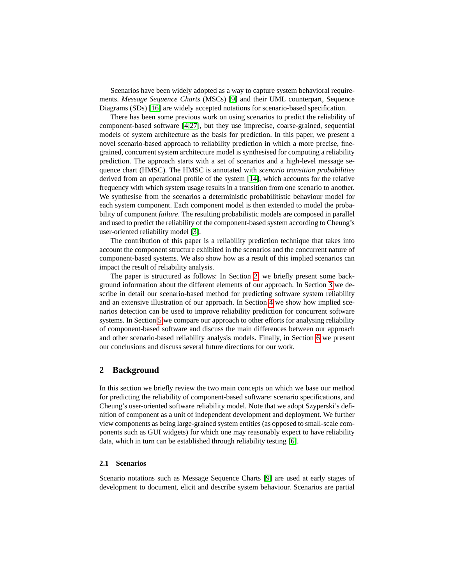Scenarios have been widely adopted as a way to capture system behavioral requirements. *Message Sequence Charts* (MSCs) [\[9\]](#page-14-5) and their UML counterpart, Sequence Diagrams (SDs) [\[16\]](#page-14-6) are widely accepted notations for scenario-based specification.

There has been some previous work on using scenarios to predict the reliability of component-based software [\[4](#page-13-0)[,27\]](#page-14-7), but they use imprecise, coarse-grained, sequential models of system architecture as the basis for prediction. In this paper, we present a novel scenario-based approach to reliability prediction in which a more precise, finegrained, concurrent system architecture model is synthesised for computing a reliability prediction. The approach starts with a set of scenarios and a high-level message sequence chart (HMSC). The HMSC is annotated with *scenario transition probabilities* derived from an operational profile of the system [\[14\]](#page-14-8), which accounts for the relative frequency with which system usage results in a transition from one scenario to another. We synthesise from the scenarios a deterministic probabilitistic behaviour model for each system component. Each component model is then extended to model the probability of component *failure*. The resulting probabilistic models are composed in parallel and used to predict the reliability of the component-based system according to Cheung's user-oriented reliability model [\[3\]](#page-13-1).

The contribution of this paper is a reliability prediction technique that takes into account the component structure exhibited in the scenarios and the concurrent nature of component-based systems. We also show how as a result of this implied scenarios can impact the result of reliability analysis.

The paper is structured as follows: In Section [2,](#page-1-0) we briefly present some background information about the different elements of our approach. In Section [3](#page-4-0) we describe in detail our scenario-based method for predicting software system reliability and an extensive illustration of our approach. In Section [4](#page-9-0) we show how implied scenarios detection can be used to improve reliability prediction for concurrent software systems. In Section [5](#page-11-0) we compare our approach to other efforts for analysing reliability of component-based software and discuss the main differences between our approach and other scenario-based reliability analysis models. Finally, in Section [6](#page-12-0) we present our conclusions and discuss several future directions for our work.

### <span id="page-1-0"></span>**2 Background**

In this section we briefly review the two main concepts on which we base our method for predicting the reliability of component-based software: scenario specifications, and Cheung's user-oriented software reliability model. Note that we adopt Szyperski's definition of component as a unit of independent development and deployment. We further view components as being large-grained system entities (as opposed to small-scale components such as GUI widgets) for which one may reasonably expect to have reliability data, which in turn can be established through reliability testing [\[6\]](#page-13-2).

## **2.1 Scenarios**

Scenario notations such as Message Sequence Charts [\[9\]](#page-14-5) are used at early stages of development to document, elicit and describe system behaviour. Scenarios are partial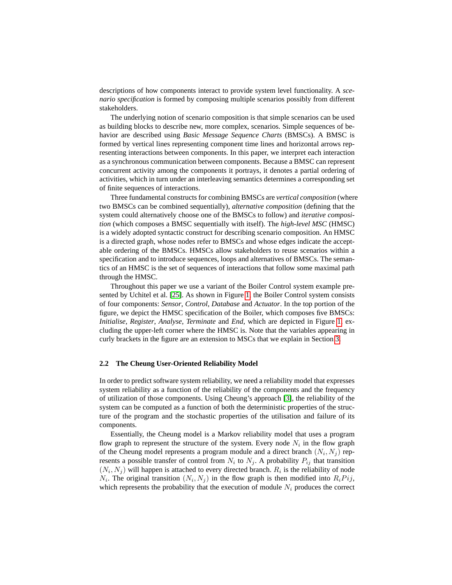descriptions of how components interact to provide system level functionality. A *scenario specification* is formed by composing multiple scenarios possibly from different stakeholders.

The underlying notion of scenario composition is that simple scenarios can be used as building blocks to describe new, more complex, scenarios. Simple sequences of behavior are described using *Basic Message Sequence Charts* (BMSCs). A BMSC is formed by vertical lines representing component time lines and horizontal arrows representing interactions between components. In this paper, we interpret each interaction as a synchronous communication between components. Because a BMSC can represent concurrent activity among the components it portrays, it denotes a partial ordering of activities, which in turn under an interleaving semantics determines a corresponding set of finite sequences of interactions.

Three fundamental constructs for combining BMSCs are *vertical composition* (where two BMSCs can be combined sequentially), *alternative composition* (defining that the system could alternatively choose one of the BMSCs to follow) and *iterative composition* (which composes a BMSC sequentially with itself). The *high-level MSC* (HMSC) is a widely adopted syntactic construct for describing scenario composition. An HMSC is a directed graph, whose nodes refer to BMSCs and whose edges indicate the acceptable ordering of the BMSCs. HMSCs allow stakeholders to reuse scenarios within a specification and to introduce sequences, loops and alternatives of BMSCs. The semantics of an HMSC is the set of sequences of interactions that follow some maximal path through the HMSC.

Throughout this paper we use a variant of the Boiler Control system example presented by Uchitel et al. [\[25\]](#page-14-9). As shown in Figure [1,](#page-3-0) the Boiler Control system consists of four components: *Sensor*, *Control*, *Database* and *Actuator*. In the top portion of the figure, we depict the HMSC specification of the Boiler, which composes five BMSCs: *Initialise*, *Register*, *Analyse*, *Terminate* and *End*, which are depicted in Figure [1,](#page-3-0) excluding the upper-left corner where the HMSC is. Note that the variables appearing in curly brackets in the figure are an extension to MSCs that we explain in Section [3.](#page-4-0)

### <span id="page-2-0"></span>**2.2 The Cheung User-Oriented Reliability Model**

In order to predict software system reliability, we need a reliability model that expresses system reliability as a function of the reliability of the components and the frequency of utilization of those components. Using Cheung's approach [\[3\]](#page-13-1), the reliability of the system can be computed as a function of both the deterministic properties of the structure of the program and the stochastic properties of the utilisation and failure of its components.

Essentially, the Cheung model is a Markov reliability model that uses a program flow graph to represent the structure of the system. Every node  $N_i$  in the flow graph of the Cheung model represents a program module and a direct branch  $(N_i, N_j)$  represents a possible transfer of control from  $N_i$  to  $N_j$ . A probability  $P_{ij}$  that transition  $(N_i, N_j)$  will happen is attached to every directed branch.  $R_i$  is the reliability of node  $N_i$ . The original transition  $(N_i, N_j)$  in the flow graph is then modified into  $R_i P i j$ , which represents the probability that the execution of module  $N_i$  produces the correct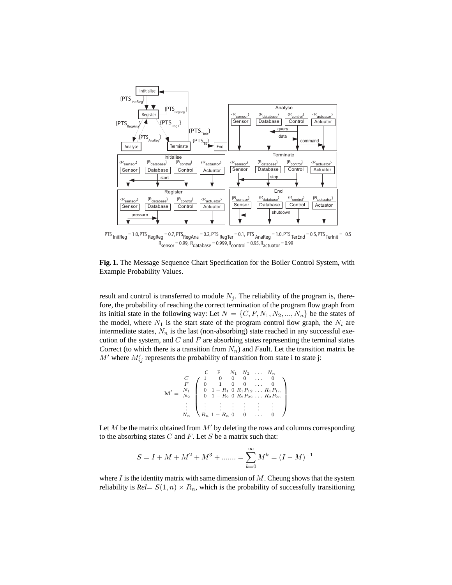

PTS <sub>InitReg</sub> = 1.0, PTS <sub>RegReg</sub> = 0.7, PTS <sub>RegAna</sub> = 0.2, PTS <sub>RegTer</sub> = 0.1, PTS <sub>AnaReg</sub> = 1.0, PTS <sub>TerEnd</sub> = 0.5, PTS <sub>TerInit</sub> = 0.5 R<sub>sensor</sub> = 0.99, R<sub>database</sub> = 0.999, R<sub>control</sub> = 0.95, R<sub>actuator</sub> = 0.99

<span id="page-3-0"></span>**Fig. 1.** The Message Sequence Chart Specification for the Boiler Control System, with Example Probability Values.

result and control is transferred to module  $N_j$ . The reliability of the program is, therefore, the probability of reaching the correct termination of the program flow graph from its initial state in the following way: Let  $N = \{C, F, N_1, N_2, ..., N_n\}$  be the states of the model, where  $N_1$  is the start state of the program control flow graph, the  $N_i$  are intermediate states,  $N_n$  is the last (non-absorbing) state reached in any successful execution of the system, and  $C$  and  $F$  are absorbing states representing the terminal states *Correct* (to which there is a transition from  $N_n$ ) and *Fault*. Let the transition matrix be  $M'$  where  $M'_{ij}$  represents the probability of transition from state i to state j:

$$
\mathbf{M}' = \begin{array}{c c c c c} & \mathbf{C} & \mathbf{F} & N_1 & N_2 & \dots & N_n \\ C & 1 & 0 & 0 & 0 & \dots & 0 \\ F_1 & 0 & 1 & 0 & 0 & \dots & 0 \\ 0 & 1 - R_1 & 0 & R_1 P_{12} & \dots & R_1 P_{1n} \\ 0 & 1 - R_2 & 0 & R_2 P_{22} & \dots & R_2 P_{2n} \\ \vdots & \vdots & \vdots & \vdots & \vdots & \vdots & \vdots \\ R_n & 1 - R_n & 0 & 0 & \dots & 0 \end{array}
$$

Let  $M$  be the matrix obtained from  $M'$  by deleting the rows and columns corresponding to the absorbing states  $C$  and  $F$ . Let  $S$  be a matrix such that:

$$
S = I + M + M^2 + M^3 + \dots = \sum_{k=0}^{\infty} M^k = (I - M)^{-1}
$$

where  $I$  is the identity matrix with same dimension of  $M$ . Cheung shows that the system reliability is  $Rel = S(1, n) \times R_n$ , which is the probability of successfully transitioning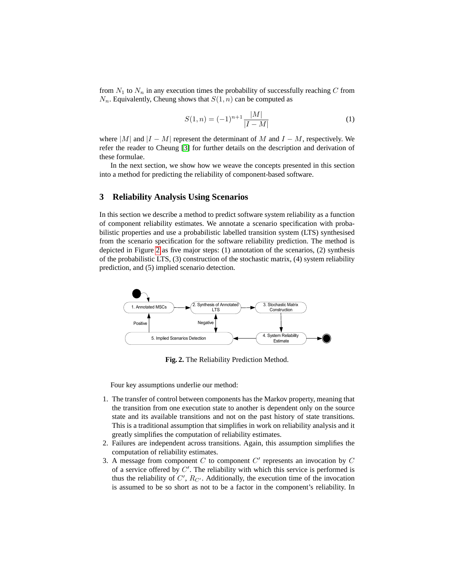from  $N_1$  to  $N_n$  in any execution times the probability of successfully reaching C from  $N_n$ . Equivalently, Cheung shows that  $S(1, n)$  can be computed as

$$
S(1, n) = (-1)^{n+1} \frac{|M|}{|I - M|}
$$
 (1)

where |M| and  $|I - M|$  represent the determinant of M and  $I - M$ , respectively. We refer the reader to Cheung [\[3\]](#page-13-1) for further details on the description and derivation of these formulae.

In the next section, we show how we weave the concepts presented in this section into a method for predicting the reliability of component-based software.

### <span id="page-4-0"></span>**3 Reliability Analysis Using Scenarios**

In this section we describe a method to predict software system reliability as a function of component reliability estimates. We annotate a scenario specification with probabilistic properties and use a probabilistic labelled transition system (LTS) synthesised from the scenario specification for the software reliability prediction. The method is depicted in Figure [2](#page-4-1) as five major steps: (1) annotation of the scenarios, (2) synthesis of the probabilistic LTS, (3) construction of the stochastic matrix, (4) system reliability prediction, and (5) implied scenario detection.



<span id="page-4-1"></span>**Fig. 2.** The Reliability Prediction Method.

Four key assumptions underlie our method:

- This is a traditional assumption that simplifies in work on reliability analysis and it 1. The transfer of control between components has the Markov property, meaning that the transition from one execution state to another is dependent only on the source state and its available transitions and not on the past history of state transitions. greatly simplifies the computation of reliability estimates.
- computation of reliability estimates. 2. Failures are independent across transitions. Again, this assumption simplifies the
- 3. A message from component  $C$  to component  $C'$  represents an invocation by  $C$ thus the reliability of  $C'$ ,  $R_{C'}$ . Additionally, the execution time of the invocation is assumed to be so short as not to be a factor in the component's reliability. In of a service offered by  $C'$ . The reliability with which this service is performed is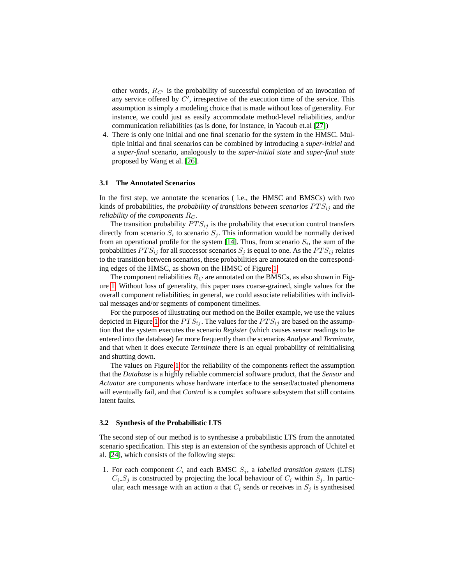other words,  $R_{C}$  is the probability of successful completion of an invocation of any service offered by  $C'$ , irrespective of the execution time of the service. This assumption is simply a modeling choice that is made without loss of generality. For instance, we could just as easily accommodate method-level reliabilities, and/or communication reliabilities (as is done, for instance, in Yacoub et.al [\[27\]](#page-14-7))

4. There is only one initial and one final scenario for the system in the HMSC. Multiple initial and final scenarios can be combined by introducing a *super-initial* and a *super-final* scenario, analogously to the *super-initial state* and *super-final state* proposed by Wang et al. [\[26\]](#page-14-10).

### **3.1 The Annotated Scenarios**

In the first step, we annotate the scenarios ( i.e., the HMSC and BMSCs) with two kinds of probabilities, *the probability of transitions between scenarios*  $PTS_{ij}$  and *the reliability of the components*  $R_C$ .

The transition probability  $PTS_{ij}$  is the probability that execution control transfers directly from scenario  $S_i$  to scenario  $S_j$ . This information would be normally derived from an operational profile for the system [\[14\]](#page-14-8). Thus, from scenario  $S_i$ , the sum of the probabilities  $PTS_{ij}$  for all successor scenarios  $S_j$  is equal to one. As the  $PTS_{ij}$  relates to the transition between scenarios, these probabilities are annotated on the corresponding edges of the HMSC, as shown on the HMSC of Figure [1.](#page-3-0)

The component reliabilities  $R_C$  are annotated on the BMSCs, as also shown in Figure [1.](#page-3-0) Without loss of generality, this paper uses coarse-grained, single values for the overall component reliabilities; in general, we could associate reliabilities with individual messages and/or segments of component timelines.

For the purposes of illustrating our method on the Boiler example, we use the values depicted in Figure [1](#page-3-0) for the  $PTS_{ij}$ . The values for the  $PTS_{ij}$  are based on the assumption that the system executes the scenario *Register* (which causes sensor readings to be entered into the database) far more frequently than the scenarios *Analyse* and *Terminate*, and that when it does execute *Terminate* there is an equal probability of reinitialising and shutting down.

The values on Figure [1](#page-3-0) for the reliability of the components reflect the assumption that the *Database* is a highly reliable commercial software product, that the *Sensor* and *Actuator* are components whose hardware interface to the sensed/actuated phenomena will eventually fail, and that *Control* is a complex software subsystem that still contains latent faults.

#### **3.2 Synthesis of the Probabilistic LTS**

The second step of our method is to synthesise a probabilistic LTS from the annotated scenario specification. This step is an extension of the synthesis approach of Uchitel et al. [\[24\]](#page-14-11), which consists of the following steps:

1. For each component  $C_i$  and each BMSC  $S_i$ , a *labelled transition system* (LTS)  $C_i S_j$  is constructed by projecting the local behaviour of  $C_i$  within  $S_j$ . In particular, each message with an action a that  $C_i$  sends or receives in  $S_j$  is synthesised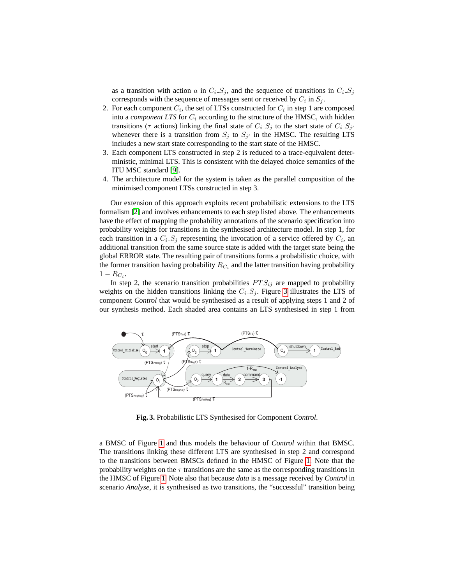as a transition with action a in  $C_i S_j$ , and the sequence of transitions in  $C_i S_j$ corresponds with the sequence of messages sent or received by  $C_i$  in  $S_j$ .

- 2. For each component  $C_i$ , the set of LTSs constructed for  $C_i$  in step 1 are composed into a *component LTS* for  $C_i$  according to the structure of the HMSC, with hidden transitions ( $\tau$  actions) linking the final state of  $C_i$ ,  $S_j$  to the start state of  $C_i$ ,  $S_{j'}$ whenever there is a transition from  $S_j$  to  $S_{j'}$  in the HMSC. The resulting LTS includes a new start state corresponding to the start state of the HMSC.
- 3. Each component LTS constructed in step 2 is reduced to a trace-equivalent deterministic, minimal LTS. This is consistent with the delayed choice semantics of the ITU MSC standard [\[9\]](#page-14-5).
- 4. The architecture model for the system is taken as the parallel composition of the minimised component LTSs constructed in step 3.

Our extension of this approach exploits recent probabilistic extensions to the LTS formalism [\[2\]](#page-13-3) and involves enhancements to each step listed above. The enhancements have the effect of mapping the probability annotations of the scenario specification into probability weights for transitions in the synthesised architecture model. In step 1, for each transition in a  $C_i$ - $S_j$  representing the invocation of a service offered by  $C_i$ , an additional transition from the same source state is added with the target state being the global ERROR state. The resulting pair of transitions forms a probabilistic choice, with the former transition having probability  $R_{C_i}$  and the latter transition having probability  $1 - R_{C_i}$ .

In step 2, the scenario transition probabilities  $PTS_{ij}$  are mapped to probability weights on the hidden transitions linking the  $C_i S_j$ . Figure [3](#page-6-0) illustrates the LTS of component *Control* that would be synthesised as a result of applying steps 1 and 2 of our synthesis method. Each shaded area contains an LTS synthesised in step 1 from



<span id="page-6-0"></span>**Fig. 3.** Probabilistic LTS Synthesised for Component *Control*.

a BMSC of Figure [1](#page-3-0) and thus models the behaviour of *Control* within that BMSC. The transitions linking these different LTS are synthesised in step 2 and correspond to the transitions between BMSCs defined in the HMSC of Figure [1.](#page-3-0) Note that the probability weights on the  $\tau$  transitions are the same as the corresponding transitions in the HMSC of Figure [1.](#page-3-0) Note also that because *data* is a message received by *Control* in scenario *Analyse*, it is synthesised as two transitions, the "successful" transition being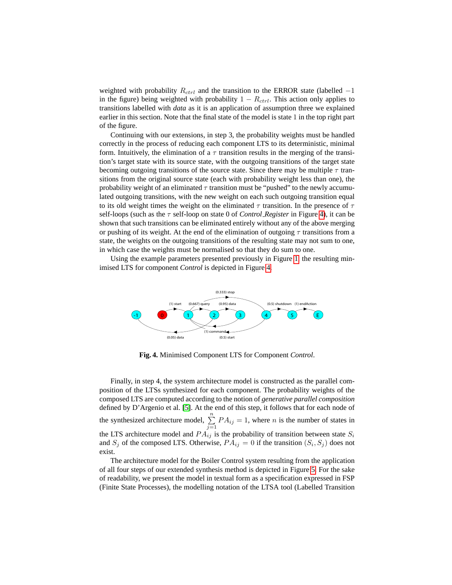weighted with probability  $R_{ctrl}$  and the transition to the ERROR state (labelled  $-1$ in the figure) being weighted with probability  $1 - R_{ctrl}$ . This action only applies to transitions labelled with *data* as it is an application of assumption three we explained earlier in this section. Note that the final state of the model is state 1 in the top right part of the figure.

Continuing with our extensions, in step 3, the probability weights must be handled correctly in the process of reducing each component LTS to its deterministic, minimal form. Intuitively, the elimination of a  $\tau$  transition results in the merging of the transition's target state with its source state, with the outgoing transitions of the target state becoming outgoing transitions of the source state. Since there may be multiple  $\tau$  transitions from the original source state (each with probability weight less than one), the probability weight of an eliminated  $\tau$  transition must be "pushed" to the newly accumulated outgoing transitions, with the new weight on each such outgoing transition equal to its old weight times the weight on the eliminated  $\tau$  transition. In the presence of  $\tau$ self-loops (such as the  $\tau$  self-loop on state 0 of *Control Register* in Figure [4\)](#page-7-0), it can be shown that such transitions can be eliminated entirely without any of the above merging or pushing of its weight. At the end of the elimination of outgoing  $\tau$  transitions from a state, the weights on the outgoing transitions of the resulting state may not sum to one, in which case the weights must be normalised so that they do sum to one.

Using the example parameters presented previously in Figure [1,](#page-3-0) the resulting minimised LTS for component *Control* is depicted in Figure [4.](#page-7-0)



<span id="page-7-0"></span>**Fig. 4.** Minimised Component LTS for Component *Control*.

Finally, in step 4, the system architecture model is constructed as the parallel composition of the LTSs synthesized for each component. The probability weights of the composed LTS are computed according to the notion of *generative parallel composition* defined by D'Argenio et al. [\[5\]](#page-13-4). At the end of this step, it follows that for each node of the synthesized architecture model,  $\sum_{n=1}^{\infty}$  $\sum_{j=1} P A_{ij} = 1$ , where *n* is the number of states in the LTS architecture model and  $PA_{ij}$  is the probability of transition between state  $S_i$ and  $S_j$  of the composed LTS. Otherwise,  $PA_{ij} = 0$  if the transition  $(S_i, S_j)$  does not exist.

The architecture model for the Boiler Control system resulting from the application of all four steps of our extended synthesis method is depicted in Figure [5.](#page-8-0) For the sake of readability, we present the model in textual form as a specification expressed in FSP (Finite State Processes), the modelling notation of the LTSA tool (Labelled Transition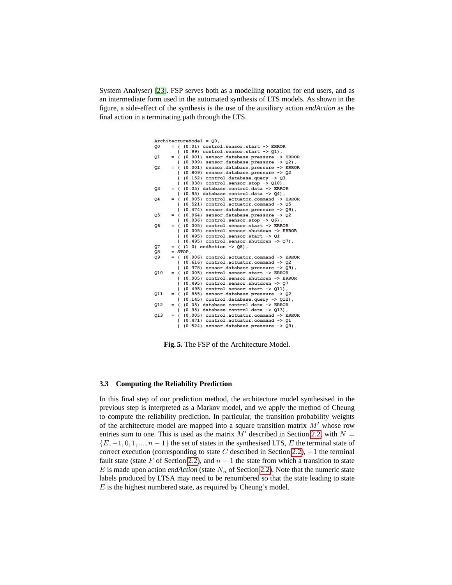System Analyser) [\[23\]](#page-14-12). FSP serves both as a modelling notation for end users, and as an intermediate form used in the automated synthesis of LTS models. As shown in the figure, a side-effect of the synthesis is the use of the auxiliary action *endAction* as the final action in a terminating path through the LTS.

```
ArchitectureModel = Q0,<br>Q0 = (0.01) contro
      Q0 = ( (0.01) control.sensor.start -> ERROR
           | (0.99) control.sensor.start -> Q1),
Q1 = ( (0.001) sensor.database.pressure -> ERROR
         | (0.999) sensor.database.pressure -> Q2),
Q2 = ( (0.001) sensor.database.pressure -> ERROR
           | (0.809) sensor.database.pressure -> Q2
         | (0.152) control.database.query -> Q3
      | (0.038) control.sensor.stop -> Q10),
Q3 = ( (0.05) database.control.data -> ERROR
      | (0.95) database.control.data -> Q4),
Q4 = ( (0.005) control.actuator.command -> ERROR
         | (0.521) control.actuator.command -> Q5
      | (0.474) sensor.database.pressure -> Q9),
Q5 = ( (0.964) sensor.database.pressure -> Q2
| (0.036) control.sensor.stop -> Q6),
Q6 = ( (0.005) control.sensor.start -> ERROR
           | (0.005) control.sensor.shutdown -> ERROR
           | (0.495) control.sensor.start -> Q1
           | (0.495) control.sensor.shutdown -> Q7),
Q7 = (1.0) endAction -> Q8,<br>Q8 = STOP.
\begin{array}{rcl} \n\sqrt{28} & = & \text{STOP}, \\ \n09 & = & (0, 0) \n\end{array}Q9 = ( (0.006) control.actuator.command -> ERROR
           | (0.616) control.actuator.command -> Q2
      | (0.378) sensor.database.pressure -> Q9),
Q10 = ( (0.005) control.sensor.start -> ERROR
           | (0.005) control.sensor.shutdown -> ERROR
           | (0.495) control.sensor.shutdown -> Q7
      | (0.495) control.sensor.start -> Q11),
Q11 = ( (0.855) sensor.database.pressure -> Q2
      | (0.145) control.database.query -> Q12),
Q12 = ( (0.05) database.control.data -> ERROR
           | (0.95) database.control.data -> Q13),
Q13 = ( (0.005) control.actuator.command -> ERROR
           | (0.471) control.actuator.command -> Q1
         | (0.524) sensor.database.pressure -> Q9).
```
<span id="page-8-0"></span>**Fig. 5.** The FSP of the Architecture Model.

#### **3.3 Computing the Reliability Prediction**

In this final step of our prediction method, the architecture model synthesised in the previous step is interpreted as a Markov model, and we apply the method of Cheung to compute the reliability prediction. In particular, the transition probability weights of the architecture model are mapped into a square transition matrix  $M'$  whose row entries sum to one. This is used as the matrix  $M'$  described in Section [2.2,](#page-2-0) with  $N =$  ${E, -1, 0, 1, ..., n-1}$  the set of states in the synthesised LTS, E the terminal state of correct execution (corresponding to state C described in Section [2.2\)](#page-2-0),  $-1$  the terminal fault state (state F of Section [2.2\)](#page-2-0), and  $n-1$  the state from which a transition to state  $E$  is made upon action *endAction* (state  $N_n$  of Section [2.2\)](#page-2-0). Note that the numeric state labels produced by LTSA may need to be renumbered so that the state leading to state  $E$  is the highest numbered state, as required by Cheung's model.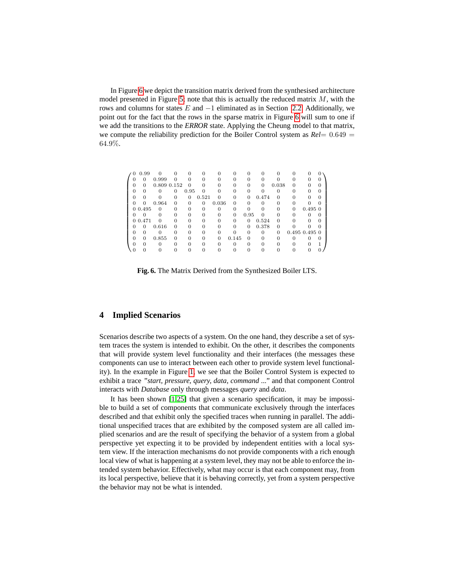In Figure [6](#page-9-1) we depict the transition matrix derived from the synthesised architecture model presented in Figure [5;](#page-8-0) note that this is actually the reduced matrix  $M$ , with the rows and columns for states  $E$  and  $-1$  eliminated as in Section [2.2.](#page-2-0) Additionally, we point out for the fact that the rows in the sparse matrix in Figure [6](#page-9-1) will sum to one if we add the transitions to the *ERROR* state. Applying the Cheung model to that matrix, we compute the reliability prediction for the Boiler Control system as  $Rel = 0.649$  = 64.9%.

|   | (0.99)   | 0        |             | 0        |            |          |       | $\Omega$ | $\Omega$ |          |                   |        |          |
|---|----------|----------|-------------|----------|------------|----------|-------|----------|----------|----------|-------------------|--------|----------|
|   | 0        | 0.999    | $\Omega$    | 0        | 0          |          |       |          | 0        |          |                   |        |          |
|   | $\Omega$ |          | 0.809 0.152 | $\Omega$ |            |          |       | 0        | 0        | 0.038    | 0                 | 0      | $\theta$ |
|   |          | 0        | 0           | 0.95     |            |          |       |          |          |          |                   |        |          |
|   | 0        |          | O           | 0        | 0.521      | $\Omega$ | 0     | 0        | 0.474    | 0        |                   |        | 0        |
| 0 | $\Omega$ | 0.964    | 0           | $\Omega$ | 0          | 0.036    | 0     | 0        | 0        |          |                   |        | 0        |
|   | 0 0.495  | $\Omega$ |             |          |            |          |       |          |          |          | 0                 | 0.4950 |          |
|   | $\theta$ | O        |             | O        | $^{\circ}$ | 0        | 0     | 0.95     | $\Omega$ | 0        | $^{(1)}$          |        | 0        |
|   | 0 0.471  | $\theta$ |             | 0        |            |          | 0     | 0        | 0.524    | 0        |                   |        | $^{(1)}$ |
|   | $\Omega$ | 0.616    | 0           | O        | O          | O        | O     | $\Omega$ | 0.378    | 0        |                   |        | O        |
|   | 0        | 0        |             | O        |            |          |       |          | $\Omega$ | $\Omega$ | $0.495$ $0.495$ 0 |        |          |
|   | 0        | 0.855    | 0           | 0        |            | 0        | 0.145 | 0        |          |          |                   |        |          |
|   | O        |          |             |          |            |          | O     |          |          |          |                   |        |          |
|   |          |          |             |          |            |          |       |          |          |          |                   |        |          |

<span id="page-9-1"></span>**Fig. 6.** The Matrix Derived from the Synthesized Boiler LTS.

# <span id="page-9-0"></span>**4 Implied Scenarios**

Scenarios describe two aspects of a system. On the one hand, they describe a set of system traces the system is intended to exhibit. On the other, it describes the components that will provide system level functionality and their interfaces (the messages these components can use to interact between each other to provide system level functionality). In the example in Figure [1,](#page-3-0) we see that the Boiler Control System is expected to exhibit a trace *"start, pressure, query, data, command ..."* and that component Control interacts with *Database* only through messages *query* and *data*.

It has been shown [\[1,](#page-13-5)[25\]](#page-14-9) that given a scenario specification, it may be impossible to build a set of components that communicate exclusively through the interfaces described and that exhibit only the specified traces when running in parallel. The additional unspecified traces that are exhibited by the composed system are all called implied scenarios and are the result of specifying the behavior of a system from a global perspective yet expecting it to be provided by independent entities with a local system view. If the interaction mechanisms do not provide components with a rich enough local view of what is happening at a system level, they may not be able to enforce the intended system behavior. Effectively, what may occur is that each component may, from its local perspective, believe that it is behaving correctly, yet from a system perspective the behavior may not be what is intended.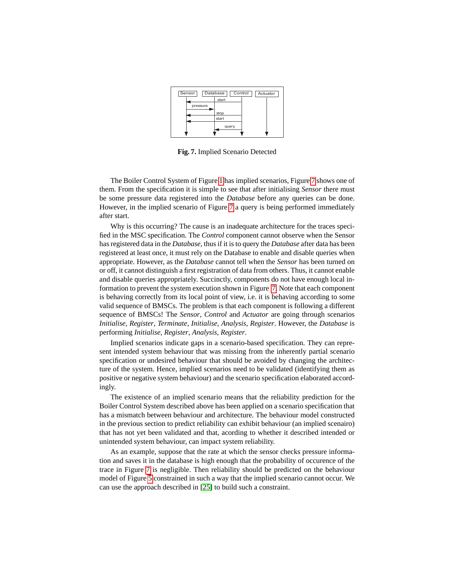

<span id="page-10-0"></span>**Fig. 7.** Implied Scenario Detected

The Boiler Control System of Figure [1](#page-3-0) has implied scenarios, Figure [7](#page-10-0) shows one of them. From the specification it is simple to see that after initialising *Sensor* there must be some pressure data registered into the *Database* before any queries can be done. However, in the implied scenario of Figure [7](#page-10-0) a query is being performed immediately after start.

Why is this occurring? The cause is an inadequate architecture for the traces specified in the MSC specification. The *Control* component cannot observe when the Sensor has registered data in the *Database*, thus if it is to query the *Database* after data has been registered at least once, it must rely on the Database to enable and disable queries when appropriate. However, as the *Database* cannot tell when the *Sensor* has been turned on or off, it cannot distinguish a first registration of data from others. Thus, it cannot enable and disable queries appropriately. Succinctly, components do not have enough local information to prevent the system execution shown in Figure [7.](#page-10-0) Note that each component is behaving correctly from its local point of view, i.e. it is behaving according to some valid sequence of BMSCs. The problem is that each component is following a different sequence of BMSCs! The *Sensor*, *Control* and *Actuator* are going through scenarios *Initialise*, *Register*, *Terminate*, *Initialise*, *Analysis*, *Register*. However, the *Database* is performing *Initialise*, *Register*, *Analysis*, *Register*.

Implied scenarios indicate gaps in a scenario-based specification. They can represent intended system behaviour that was missing from the inherently partial scenario specification or undesired behaviour that should be avoided by changing the architecture of the system. Hence, implied scenarios need to be validated (identifying them as positive or negative system behaviour) and the scenario specification elaborated accordingly.

The existence of an implied scenario means that the reliability prediction for the Boiler Control System described above has been applied on a scenario specification that has a mismatch between behaviour and architecture. The behaviour model constructed in the previous section to predict reliability can exhibit behaviour (an implied scenairo) that has not yet been validated and that, acording to whether it described intended or unintended system behaviour, can impact system reliability.

As an example, suppose that the rate at which the sensor checks pressure information and saves it in the database is high enough that the probability of occurence of the trace in Figure [7](#page-10-0) is negligible. Then reliability should be predicted on the behaviour model of Figure [5](#page-8-0) constrained in such a way that the implied scenario cannot occur. We can use the approach described in [\[25\]](#page-14-9) to build such a constraint.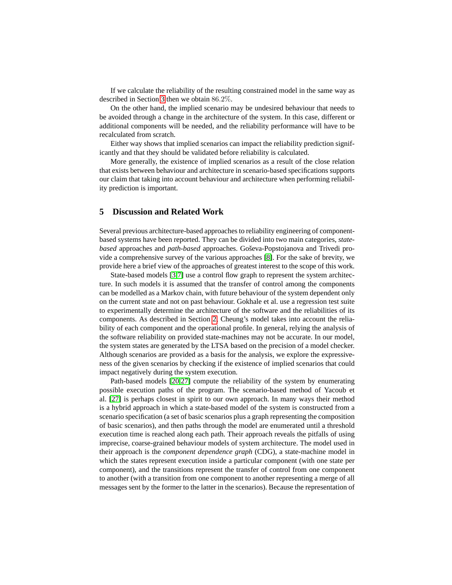If we calculate the reliability of the resulting constrained model in the same way as described in Section [3](#page-4-0) then we obtain 86.2%.

On the other hand, the implied scenario may be undesired behaviour that needs to be avoided through a change in the architecture of the system. In this case, different or additional components will be needed, and the reliability performance will have to be recalculated from scratch.

Either way shows that implied scenarios can impact the reliability prediction significantly and that they should be validated before reliability is calculated.

More generally, the existence of implied scenarios as a result of the close relation that exists between behaviour and architecture in scenario-based specifications supports our claim that taking into account behaviour and architecture when performing reliability prediction is important.

# <span id="page-11-0"></span>**5 Discussion and Related Work**

Several previous architecture-based approaches to reliability engineering of componentbased systems have been reported. They can be divided into two main categories, *statebased* approaches and *path-based* approaches. Goseva-Popstojanova and Trivedi provide a comprehensive survey of the various approaches [\[8\]](#page-14-3). For the sake of brevity, we provide here a brief view of the approaches of greatest interest to the scope of this work.

State-based models [\[3,](#page-13-1)[7\]](#page-14-13) use a control flow graph to represent the system architecture. In such models it is assumed that the transfer of control among the components can be modelled as a Markov chain, with future behaviour of the system dependent only on the current state and not on past behaviour. Gokhale et al. use a regression test suite to experimentally determine the architecture of the software and the reliabilities of its components. As described in Section [2,](#page-1-0) Cheung's model takes into account the reliability of each component and the operational profile. In general, relying the analysis of the software reliability on provided state-machines may not be accurate. In our model, the system states are generated by the LTSA based on the precision of a model checker. Although scenarios are provided as a basis for the analysis, we explore the expressiveness of the given scenarios by checking if the existence of implied scenarios that could impact negatively during the system execution.

Path-based models [\[20,](#page-14-14)[27\]](#page-14-7) compute the reliability of the system by enumerating possible execution paths of the program. The scenario-based method of Yacoub et al. [\[27\]](#page-14-7) is perhaps closest in spirit to our own approach. In many ways their method is a hybrid approach in which a state-based model of the system is constructed from a scenario specification (a set of basic scenarios plus a graph representing the composition of basic scenarios), and then paths through the model are enumerated until a threshold execution time is reached along each path. Their approach reveals the pitfalls of using imprecise, coarse-grained behaviour models of system architecture. The model used in their approach is the *component dependence graph* (CDG), a state-machine model in which the states represent execution inside a particular component (with one state per component), and the transitions represent the transfer of control from one component to another (with a transition from one component to another representing a merge of all messages sent by the former to the latter in the scenarios). Because the representation of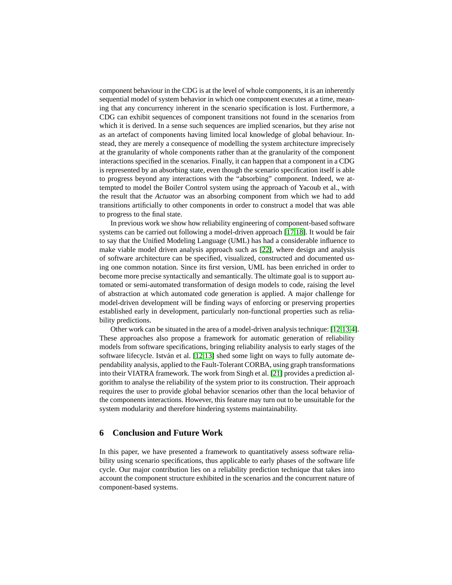component behaviour in the CDG is at the level of whole components, it is an inherently sequential model of system behavior in which one component executes at a time, meaning that any concurrency inherent in the scenario specification is lost. Furthermore, a CDG can exhibit sequences of component transitions not found in the scenarios from which it is derived. In a sense such sequences are implied scenarios, but they arise not as an artefact of components having limited local knowledge of global behaviour. Instead, they are merely a consequence of modelling the system architecture imprecisely at the granularity of whole components rather than at the granularity of the component interactions specified in the scenarios. Finally, it can happen that a component in a CDG is represented by an absorbing state, even though the scenario specification itself is able to progress beyond any interactions with the "absorbing" component. Indeed, we attempted to model the Boiler Control system using the approach of Yacoub et al., with the result that the *Actuator* was an absorbing component from which we had to add transitions artificially to other components in order to construct a model that was able to progress to the final state.

In previous work we show how reliability engineering of component-based software systems can be carried out following a model-driven approach [\[17](#page-14-15)[,18\]](#page-14-16). It would be fair to say that the Unified Modeling Language (UML) has had a considerable influence to make viable model driven analysis approach such as [\[22\]](#page-14-17), where design and analysis of software architecture can be specified, visualized, constructed and documented using one common notation. Since its first version, UML has been enriched in order to become more precise syntactically and semantically. The ultimate goal is to support automated or semi-automated transformation of design models to code, raising the level of abstraction at which automated code generation is applied. A major challenge for model-driven development will be finding ways of enforcing or preserving properties established early in development, particularly non-functional properties such as reliability predictions.

Other work can be situated in the area of a model-driven analysis technique: [\[12](#page-14-18)[,13](#page-14-19)[,4\]](#page-13-0). These approaches also propose a framework for automatic generation of reliability models from software specifications, bringing reliability analysis to early stages of the software lifecycle. István et al. [\[12](#page-14-18)[,13\]](#page-14-19) shed some light on ways to fully automate dependability analysis, applied to the Fault-Tolerant CORBA, using graph transformations into their VIATRA framework. The work from Singh et al. [\[21\]](#page-14-20) provides a prediction algorithm to analyse the reliability of the system prior to its construction. Their approach requires the user to provide global behavior scenarios other than the local behavior of the components interactions. However, this feature may turn out to be unsuitable for the system modularity and therefore hindering systems maintainability.

### <span id="page-12-0"></span>**6 Conclusion and Future Work**

In this paper, we have presented a framework to quantitatively assess software reliability using scenario specifications, thus applicable to early phases of the software life cycle. Our major contribution lies on a reliability prediction technique that takes into account the component structure exhibited in the scenarios and the concurrent nature of component-based systems.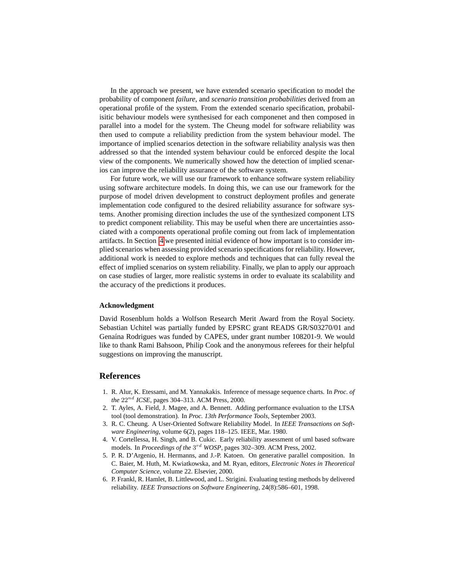In the approach we present, we have extended scenario specification to model the probability of component *failure*, and *scenario transition probabilities* derived from an operational profile of the system. From the extended scenario specification, probabilisitic behaviour models were synthesised for each componenet and then composed in parallel into a model for the system. The Cheung model for software reliability was then used to compute a reliability prediction from the system behaviour model. The importance of implied scenarios detection in the software reliability analysis was then addressed so that the intended system behaviour could be enforced despite the local view of the components. We numerically showed how the detection of implied scenarios can improve the reliability assurance of the software system.

For future work, we will use our framework to enhance software system reliability using software architecture models. In doing this, we can use our framework for the purpose of model driven development to construct deployment profiles and generate implementation code configured to the desired reliability assurance for software systems. Another promising direction includes the use of the synthesized component LTS to predict component reliability. This may be useful when there are uncertainties associated with a components operational profile coming out from lack of implementation artifacts. In Section [4](#page-9-0) we presented initial evidence of how important is to consider implied scenarios when assessing provided scenario specifications for reliability. However, additional work is needed to explore methods and techniques that can fully reveal the effect of implied scenarios on system reliability. Finally, we plan to apply our approach on case studies of larger, more realistic systems in order to evaluate its scalability and the accuracy of the predictions it produces.

#### **Acknowledgment**

David Rosenblum holds a Wolfson Research Merit Award from the Royal Society. Sebastian Uchitel was partially funded by EPSRC grant READS GR/S03270/01 and Genaína Rodrigues was funded by CAPES, under grant number 108201-9. We would like to thank Rami Bahsoon, Philip Cook and the anonymous referees for their helpful suggestions on improving the manuscript.

### **References**

- <span id="page-13-5"></span>1. R. Alur, K. Etessami, and M. Yannakakis. Inference of message sequence charts. In *Proc. of the*  $22^{nd}$  *ICSE*, pages 304–313. ACM Press, 2000.
- <span id="page-13-3"></span>2. T. Ayles, A. Field, J. Magee, and A. Bennett. Adding performance evaluation to the LTSA tool (tool demonstration). In *Proc. 13th Performance Tools*, September 2003.
- <span id="page-13-1"></span>3. R. C. Cheung. A User-Oriented Software Reliability Model. In *IEEE Transactions on Software Engineering*, volume 6(2), pages 118–125. IEEE, Mar. 1980.
- <span id="page-13-0"></span>4. V. Cortellessa, H. Singh, and B. Cukic. Early reliability assessment of uml based software models. In *Proceedings of the*  $3^{rd}$  *WOSP*, pages 302–309. ACM Press, 2002.
- <span id="page-13-4"></span>5. P. R. D'Argenio, H. Hermanns, and J.-P. Katoen. On generative parallel composition. In C. Baier, M. Huth, M. Kwiatkowska, and M. Ryan, editors, *Electronic Notes in Theoretical Computer Science*, volume 22. Elsevier, 2000.
- <span id="page-13-2"></span>6. P. Frankl, R. Hamlet, B. Littlewood, and L. Strigini. Evaluating testing methods by delivered reliability. *IEEE Transactions on Software Engineering*, 24(8):586–601, 1998.